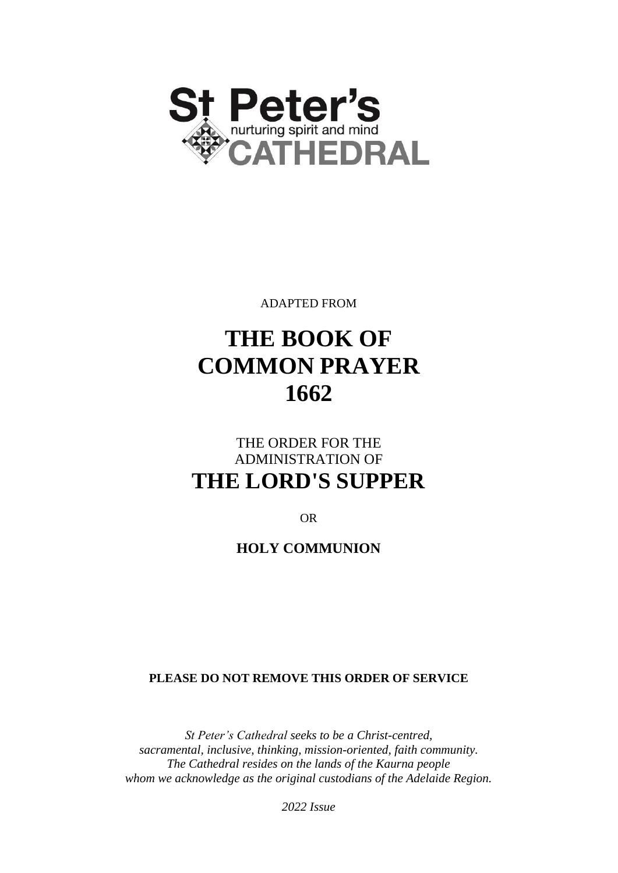

ADAPTED FROM

# **THE BOOK OF COMMON PRAYER 1662**

# THE ORDER FOR THE ADMINISTRATION OF **THE LORD'S SUPPER**

OR

**HOLY COMMUNION**

**PLEASE DO NOT REMOVE THIS ORDER OF SERVICE**

*St Peter's Cathedral seeks to be a Christ-centred, sacramental, inclusive, thinking, mission-oriented, faith community. The Cathedral resides on the lands of the Kaurna people whom we acknowledge as the original custodians of the Adelaide Region.*

*2022 Issue*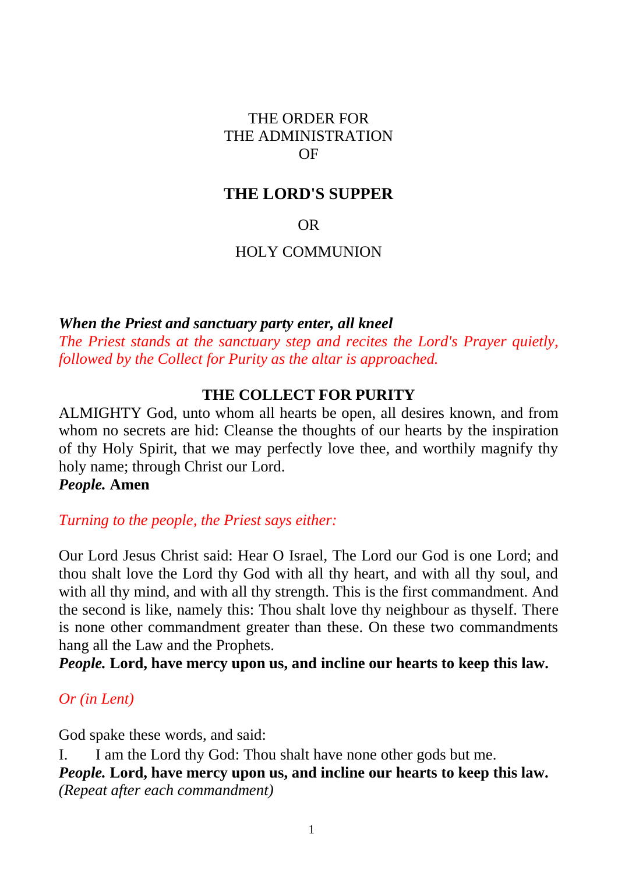#### THE ORDER FOR THE ADMINISTRATION OF

#### **THE LORD'S SUPPER**

OR

#### HOLY COMMUNION

*When the Priest and sanctuary party enter, all kneel*

*The Priest stands at the sanctuary step and recites the Lord's Prayer quietly, followed by the Collect for Purity as the altar is approached.*

#### **THE COLLECT FOR PURITY**

ALMIGHTY God, unto whom all hearts be open, all desires known, and from whom no secrets are hid: Cleanse the thoughts of our hearts by the inspiration of thy Holy Spirit, that we may perfectly love thee, and worthily magnify thy holy name; through Christ our Lord.

*People.* **Amen**

*Turning to the people, the Priest says either:*

Our Lord Jesus Christ said: Hear O Israel, The Lord our God is one Lord; and thou shalt love the Lord thy God with all thy heart, and with all thy soul, and with all thy mind, and with all thy strength. This is the first commandment. And the second is like, namely this: Thou shalt love thy neighbour as thyself. There is none other commandment greater than these. On these two commandments hang all the Law and the Prophets.

*People.* **Lord, have mercy upon us, and incline our hearts to keep this law.**

#### *Or (in Lent)*

God spake these words, and said:

I. I am the Lord thy God: Thou shalt have none other gods but me. *People.* **Lord, have mercy upon us, and incline our hearts to keep this law.** *(Repeat after each commandment)*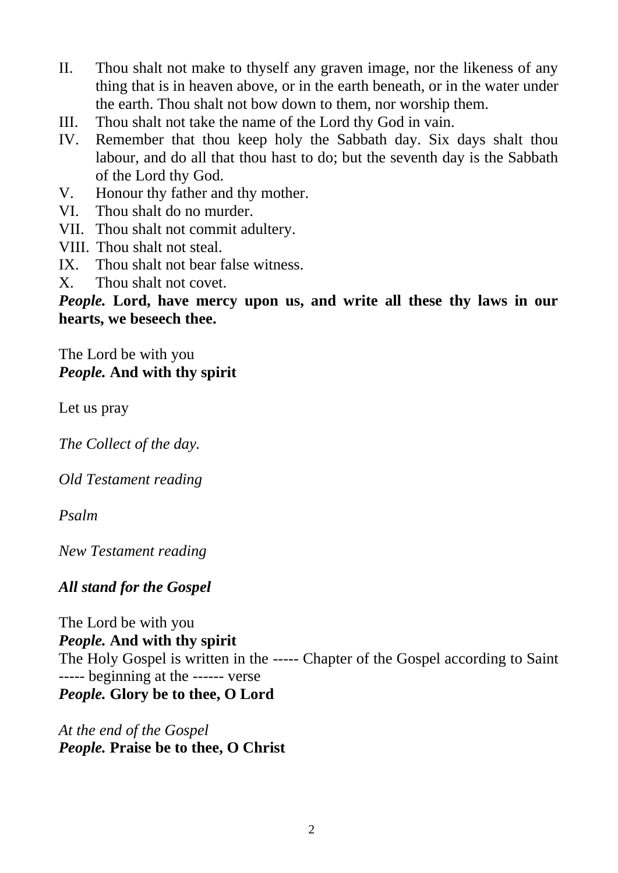- II. Thou shalt not make to thyself any graven image, nor the likeness of any thing that is in heaven above, or in the earth beneath, or in the water under the earth. Thou shalt not bow down to them, nor worship them.
- III. Thou shalt not take the name of the Lord thy God in vain.
- IV. Remember that thou keep holy the Sabbath day. Six days shalt thou labour, and do all that thou hast to do; but the seventh day is the Sabbath of the Lord thy God.
- V. Honour thy father and thy mother.
- VI. Thou shalt do no murder.
- VII. Thou shalt not commit adultery.
- VIII. Thou shalt not steal.
- IX. Thou shalt not bear false witness.
- X. Thou shalt not covet.

*People.* **Lord, have mercy upon us, and write all these thy laws in our hearts, we beseech thee.**

## The Lord be with you *People.* **And with thy spirit**

Let us pray

*The Collect of the day.*

*Old Testament reading*

*Psalm*

*New Testament reading*

## *All stand for the Gospel*

The Lord be with you *People.* **And with thy spirit** The Holy Gospel is written in the ----- Chapter of the Gospel according to Saint ----- beginning at the ------ verse *People.* **Glory be to thee, O Lord**

*At the end of the Gospel People.* **Praise be to thee, O Christ**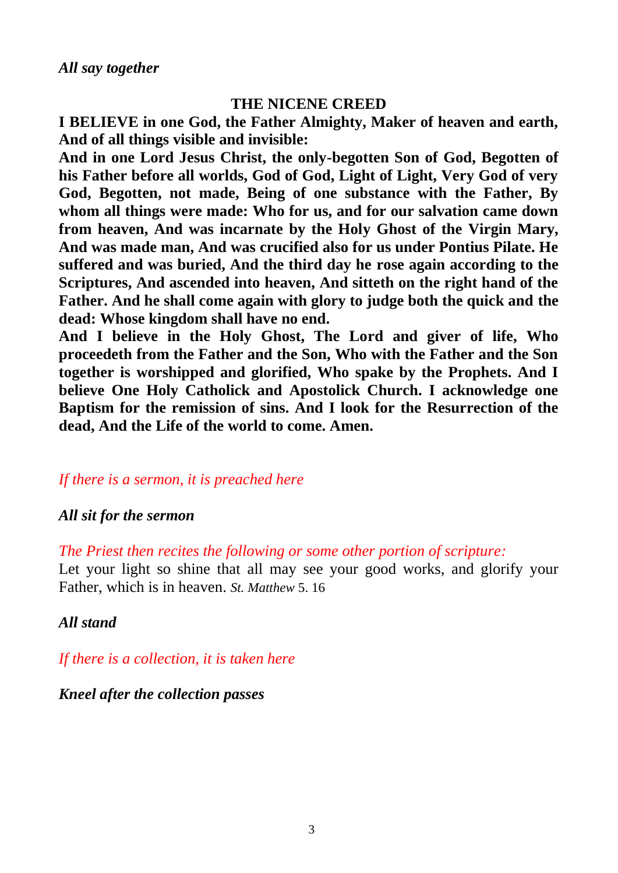#### **THE NICENE CREED**

**I BELIEVE in one God, the Father Almighty, Maker of heaven and earth, And of all things visible and invisible:**

**And in one Lord Jesus Christ, the only-begotten Son of God, Begotten of his Father before all worlds, God of God, Light of Light, Very God of very God, Begotten, not made, Being of one substance with the Father, By whom all things were made: Who for us, and for our salvation came down from heaven, And was incarnate by the Holy Ghost of the Virgin Mary, And was made man, And was crucified also for us under Pontius Pilate. He suffered and was buried, And the third day he rose again according to the Scriptures, And ascended into heaven, And sitteth on the right hand of the Father. And he shall come again with glory to judge both the quick and the dead: Whose kingdom shall have no end.**

**And I believe in the Holy Ghost, The Lord and giver of life, Who proceedeth from the Father and the Son, Who with the Father and the Son together is worshipped and glorified, Who spake by the Prophets. And I believe One Holy Catholick and Apostolick Church. I acknowledge one Baptism for the remission of sins. And I look for the Resurrection of the dead, And the Life of the world to come. Amen.**

## *If there is a sermon, it is preached here*

#### *All sit for the sermon*

*The Priest then recites the following or some other portion of scripture:*

Let your light so shine that all may see your good works, and glorify your Father, which is in heaven. *St. Matthew* 5. 16

*All stand*

*If there is a collection, it is taken here*

#### *Kneel after the collection passes*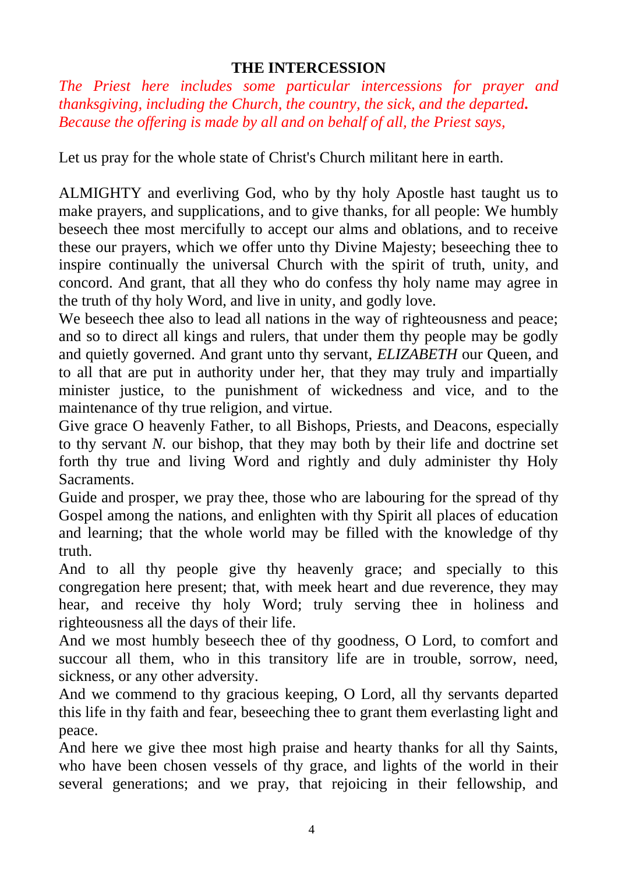## **THE INTERCESSION**

*The Priest here includes some particular intercessions for prayer and thanksgiving, including the Church, the country, the sick, and the departed. Because the offering is made by all and on behalf of all, the Priest says,* 

Let us pray for the whole state of Christ's Church militant here in earth.

ALMIGHTY and everliving God, who by thy holy Apostle hast taught us to make prayers, and supplications, and to give thanks, for all people: We humbly beseech thee most mercifully to accept our alms and oblations, and to receive these our prayers, which we offer unto thy Divine Majesty; beseeching thee to inspire continually the universal Church with the spirit of truth, unity, and concord. And grant, that all they who do confess thy holy name may agree in the truth of thy holy Word, and live in unity, and godly love.

We beseech thee also to lead all nations in the way of righteousness and peace; and so to direct all kings and rulers, that under them thy people may be godly and quietly governed. And grant unto thy servant, *ELIZABETH* our Queen, and to all that are put in authority under her, that they may truly and impartially minister justice, to the punishment of wickedness and vice, and to the maintenance of thy true religion, and virtue.

Give grace O heavenly Father, to all Bishops, Priests, and Deacons, especially to thy servant *N.* our bishop, that they may both by their life and doctrine set forth thy true and living Word and rightly and duly administer thy Holy Sacraments.

Guide and prosper, we pray thee, those who are labouring for the spread of thy Gospel among the nations, and enlighten with thy Spirit all places of education and learning; that the whole world may be filled with the knowledge of thy truth.

And to all thy people give thy heavenly grace; and specially to this congregation here present; that, with meek heart and due reverence, they may hear, and receive thy holy Word; truly serving thee in holiness and righteousness all the days of their life.

And we most humbly beseech thee of thy goodness, O Lord, to comfort and succour all them, who in this transitory life are in trouble, sorrow, need, sickness, or any other adversity.

And we commend to thy gracious keeping, O Lord, all thy servants departed this life in thy faith and fear, beseeching thee to grant them everlasting light and peace.

And here we give thee most high praise and hearty thanks for all thy Saints, who have been chosen vessels of thy grace, and lights of the world in their several generations; and we pray, that rejoicing in their fellowship, and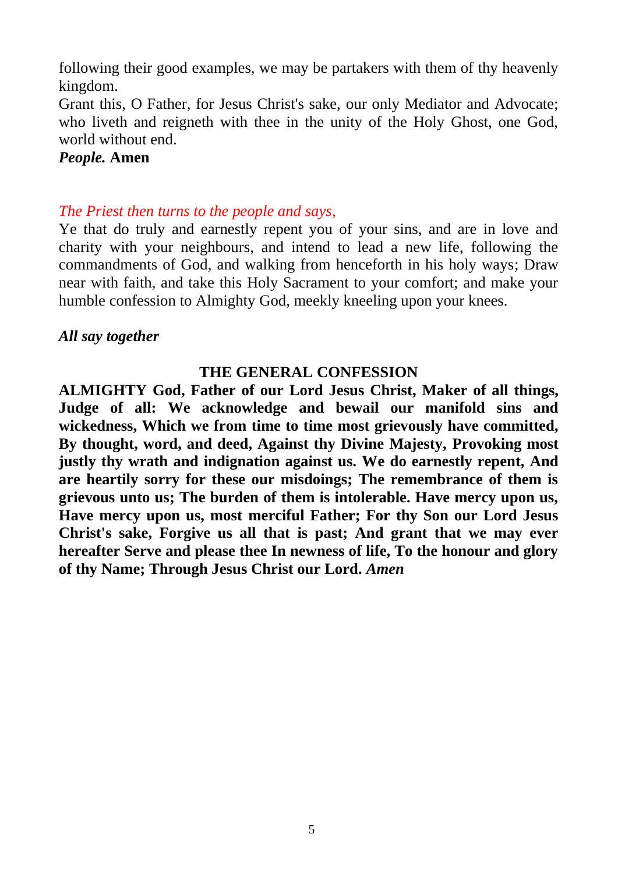following their good examples, we may be partakers with them of thy heavenly kingdom.

Grant this, O Father, for Jesus Christ's sake, our only Mediator and Advocate; who liveth and reigneth with thee in the unity of the Holy Ghost, one God, world without end.

#### *People.* **Amen**

*The Priest then turns to the people and says,*

Ye that do truly and earnestly repent you of your sins, and are in love and charity with your neighbours, and intend to lead a new life, following the commandments of God, and walking from henceforth in his holy ways; Draw near with faith, and take this Holy Sacrament to your comfort; and make your humble confession to Almighty God, meekly kneeling upon your knees.

#### *All say together*

#### **THE GENERAL CONFESSION**

**ALMIGHTY God, Father of our Lord Jesus Christ, Maker of all things, Judge of all: We acknowledge and bewail our manifold sins and wickedness, Which we from time to time most grievously have committed, By thought, word, and deed, Against thy Divine Majesty, Provoking most justly thy wrath and indignation against us. We do earnestly repent, And are heartily sorry for these our misdoings; The remembrance of them is grievous unto us; The burden of them is intolerable. Have mercy upon us, Have mercy upon us, most merciful Father; For thy Son our Lord Jesus Christ's sake, Forgive us all that is past; And grant that we may ever hereafter Serve and please thee In newness of life, To the honour and glory of thy Name; Through Jesus Christ our Lord.** *Amen*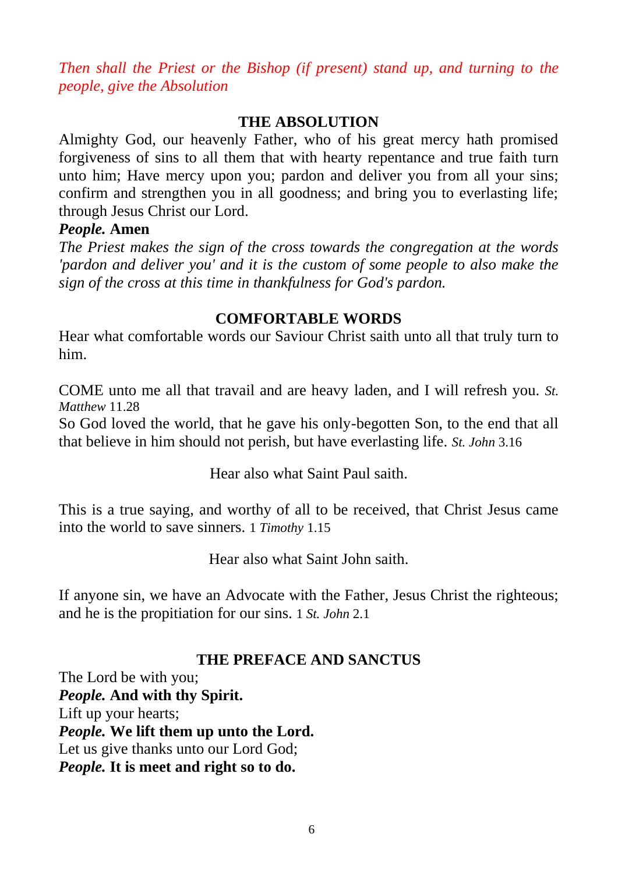*Then shall the Priest or the Bishop (if present) stand up, and turning to the people, give the Absolution*

## **THE ABSOLUTION**

Almighty God, our heavenly Father, who of his great mercy hath promised forgiveness of sins to all them that with hearty repentance and true faith turn unto him; Have mercy upon you; pardon and deliver you from all your sins; confirm and strengthen you in all goodness; and bring you to everlasting life; through Jesus Christ our Lord.

#### *People.* **Amen**

*The Priest makes the sign of the cross towards the congregation at the words 'pardon and deliver you' and it is the custom of some people to also make the sign of the cross at this time in thankfulness for God's pardon.*

#### **COMFORTABLE WORDS**

Hear what comfortable words our Saviour Christ saith unto all that truly turn to him.

COME unto me all that travail and are heavy laden, and I will refresh you. *St. Matthew* 11.28

So God loved the world, that he gave his only-begotten Son, to the end that all that believe in him should not perish, but have everlasting life. *St. John* 3.16

Hear also what Saint Paul saith.

This is a true saying, and worthy of all to be received, that Christ Jesus came into the world to save sinners. 1 *Timothy* 1.15

Hear also what Saint John saith.

If anyone sin, we have an Advocate with the Father, Jesus Christ the righteous; and he is the propitiation for our sins. 1 *St. John* 2.1

## **THE PREFACE AND SANCTUS**

The Lord be with you; *People.* **And with thy Spirit.** Lift up your hearts; *People.* **We lift them up unto the Lord.** Let us give thanks unto our Lord God; *People.* **It is meet and right so to do.**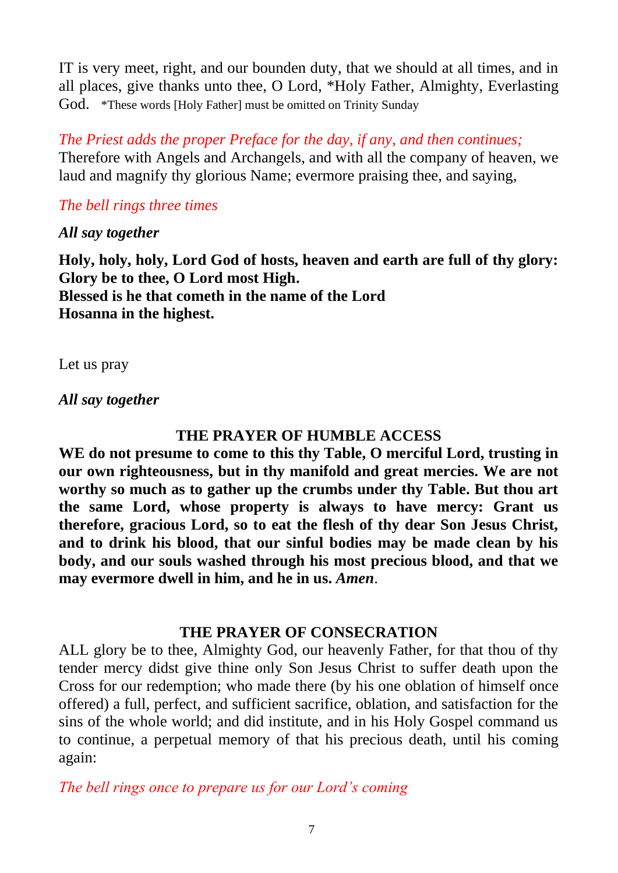IT is very meet, right, and our bounden duty, that we should at all times, and in all places, give thanks unto thee, O Lord, \*Holy Father, Almighty, Everlasting God. \*These words [Holy Father] must be omitted on Trinity Sunday

*The Priest adds the proper Preface for the day, if any*, *and then continues;* Therefore with Angels and Archangels, and with all the company of heaven, we laud and magnify thy glorious Name; evermore praising thee, and saying,

## *The bell rings three times*

#### *All say together*

**Holy, holy, holy, Lord God of hosts, heaven and earth are full of thy glory: Glory be to thee, O Lord most High. Blessed is he that cometh in the name of the Lord Hosanna in the highest.**

Let us pray

*All say together*

## **THE PRAYER OF HUMBLE ACCESS**

**WE do not presume to come to this thy Table, O merciful Lord, trusting in our own righteousness, but in thy manifold and great mercies. We are not worthy so much as to gather up the crumbs under thy Table. But thou art the same Lord, whose property is always to have mercy: Grant us therefore, gracious Lord, so to eat the flesh of thy dear Son Jesus Christ, and to drink his blood, that our sinful bodies may be made clean by his body, and our souls washed through his most precious blood, and that we may evermore dwell in him, and he in us.** *Amen*.

#### **THE PRAYER OF CONSECRATION**

ALL glory be to thee, Almighty God, our heavenly Father, for that thou of thy tender mercy didst give thine only Son Jesus Christ to suffer death upon the Cross for our redemption; who made there (by his one oblation of himself once offered) a full, perfect, and sufficient sacrifice, oblation, and satisfaction for the sins of the whole world; and did institute, and in his Holy Gospel command us to continue, a perpetual memory of that his precious death, until his coming again:

*The bell rings once to prepare us for our Lord's coming*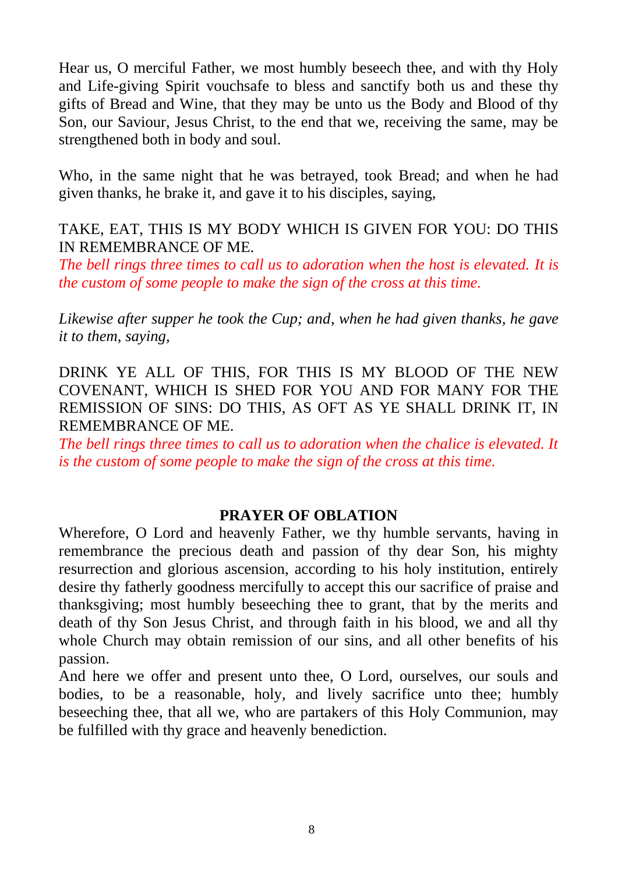Hear us, O merciful Father, we most humbly beseech thee, and with thy Holy and Life-giving Spirit vouchsafe to bless and sanctify both us and these thy gifts of Bread and Wine, that they may be unto us the Body and Blood of thy Son, our Saviour, Jesus Christ, to the end that we, receiving the same, may be strengthened both in body and soul.

Who, in the same night that he was betrayed, took Bread; and when he had given thanks, he brake it, and gave it to his disciples, saying,

## TAKE, EAT, THIS IS MY BODY WHICH IS GIVEN FOR YOU: DO THIS IN REMEMBRANCE OF ME.

*The bell rings three times to call us to adoration when the host is elevated. It is the custom of some people to make the sign of the cross at this time.*

*Likewise after supper he took the Cup; and, when he had given thanks, he gave it to them, saying,*

DRINK YE ALL OF THIS, FOR THIS IS MY BLOOD OF THE NEW COVENANT, WHICH IS SHED FOR YOU AND FOR MANY FOR THE REMISSION OF SINS: DO THIS, AS OFT AS YE SHALL DRINK IT, IN REMEMBRANCE OF ME.

*The bell rings three times to call us to adoration when the chalice is elevated. It is the custom of some people to make the sign of the cross at this time.*

#### **PRAYER OF OBLATION**

Wherefore, O Lord and heavenly Father, we thy humble servants, having in remembrance the precious death and passion of thy dear Son, his mighty resurrection and glorious ascension, according to his holy institution, entirely desire thy fatherly goodness mercifully to accept this our sacrifice of praise and thanksgiving; most humbly beseeching thee to grant, that by the merits and death of thy Son Jesus Christ, and through faith in his blood, we and all thy whole Church may obtain remission of our sins, and all other benefits of his passion.

And here we offer and present unto thee, O Lord, ourselves, our souls and bodies, to be a reasonable, holy, and lively sacrifice unto thee; humbly beseeching thee, that all we, who are partakers of this Holy Communion, may be fulfilled with thy grace and heavenly benediction.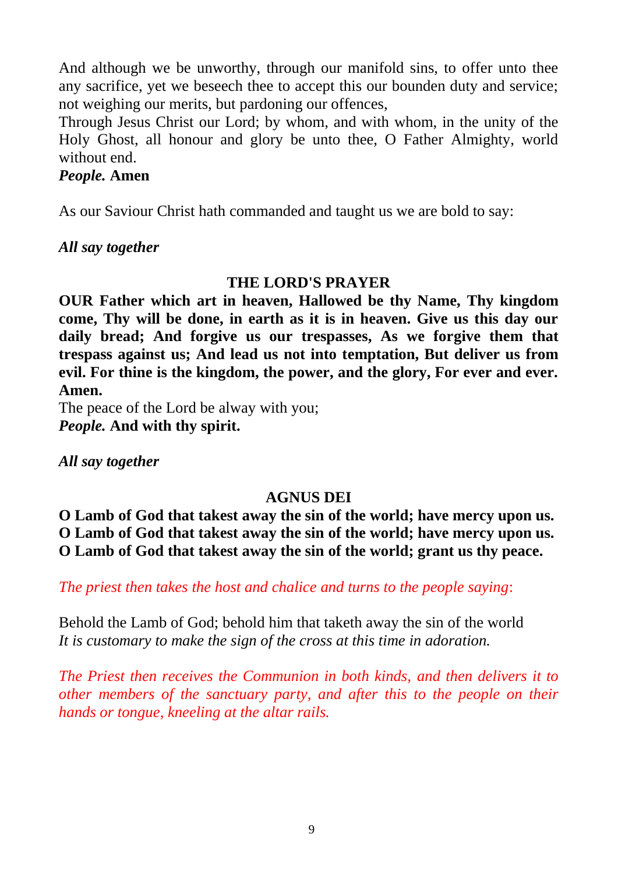And although we be unworthy, through our manifold sins, to offer unto thee any sacrifice, yet we beseech thee to accept this our bounden duty and service; not weighing our merits, but pardoning our offences,

Through Jesus Christ our Lord; by whom, and with whom, in the unity of the Holy Ghost, all honour and glory be unto thee, O Father Almighty, world without end.

#### *People.* **Amen**

As our Saviour Christ hath commanded and taught us we are bold to say:

*All say together*

## **THE LORD'S PRAYER**

**OUR Father which art in heaven, Hallowed be thy Name, Thy kingdom come, Thy will be done, in earth as it is in heaven. Give us this day our daily bread; And forgive us our trespasses, As we forgive them that trespass against us; And lead us not into temptation, But deliver us from evil. For thine is the kingdom, the power, and the glory, For ever and ever. Amen.**

The peace of the Lord be alway with you; *People.* **And with thy spirit.**

*All say together*

## **AGNUS DEI**

**O Lamb of God that takest away the sin of the world; have mercy upon us. O Lamb of God that takest away the sin of the world; have mercy upon us. O Lamb of God that takest away the sin of the world; grant us thy peace.**

*The priest then takes the host and chalice and turns to the people saying*:

Behold the Lamb of God; behold him that taketh away the sin of the world *It is customary to make the sign of the cross at this time in adoration.*

*The Priest then receives the Communion in both kinds, and then delivers it to other members of the sanctuary party, and after this to the people on their hands or tongue, kneeling at the altar rails.*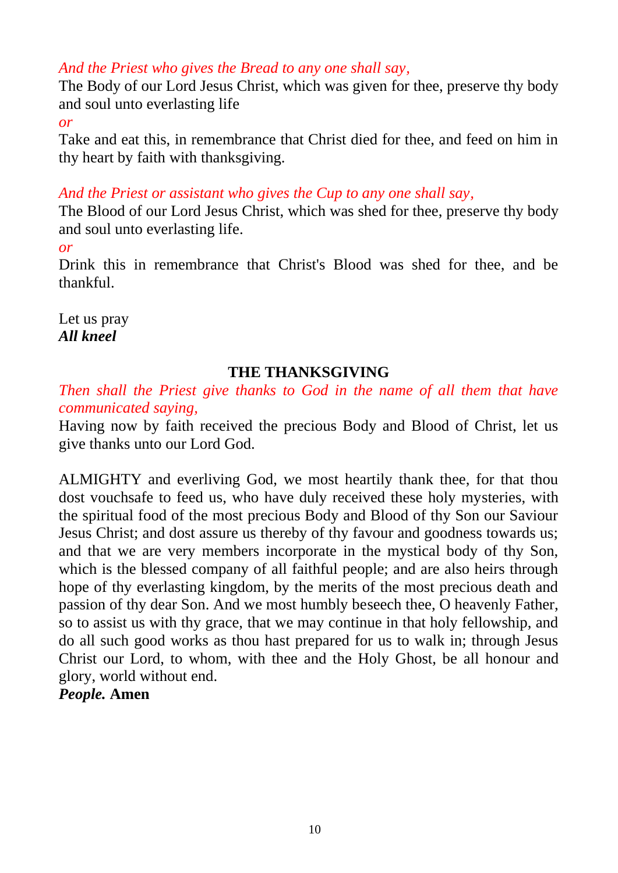## *And the Priest who gives the Bread to any one shall say,*

The Body of our Lord Jesus Christ, which was given for thee, preserve thy body and soul unto everlasting life

*or*

Take and eat this, in remembrance that Christ died for thee, and feed on him in thy heart by faith with thanksgiving.

## *And the Priest or assistant who gives the Cup to any one shall say,*

The Blood of our Lord Jesus Christ, which was shed for thee, preserve thy body and soul unto everlasting life.

*or*

Drink this in remembrance that Christ's Blood was shed for thee, and be thankful.

Let us pray *All kneel*

## **THE THANKSGIVING**

*Then shall the Priest give thanks to God in the name of all them that have communicated saying,*

Having now by faith received the precious Body and Blood of Christ, let us give thanks unto our Lord God.

ALMIGHTY and everliving God, we most heartily thank thee, for that thou dost vouchsafe to feed us, who have duly received these holy mysteries, with the spiritual food of the most precious Body and Blood of thy Son our Saviour Jesus Christ; and dost assure us thereby of thy favour and goodness towards us; and that we are very members incorporate in the mystical body of thy Son, which is the blessed company of all faithful people; and are also heirs through hope of thy everlasting kingdom, by the merits of the most precious death and passion of thy dear Son. And we most humbly beseech thee, O heavenly Father, so to assist us with thy grace, that we may continue in that holy fellowship, and do all such good works as thou hast prepared for us to walk in; through Jesus Christ our Lord, to whom, with thee and the Holy Ghost, be all honour and glory, world without end.

*People.* **Amen**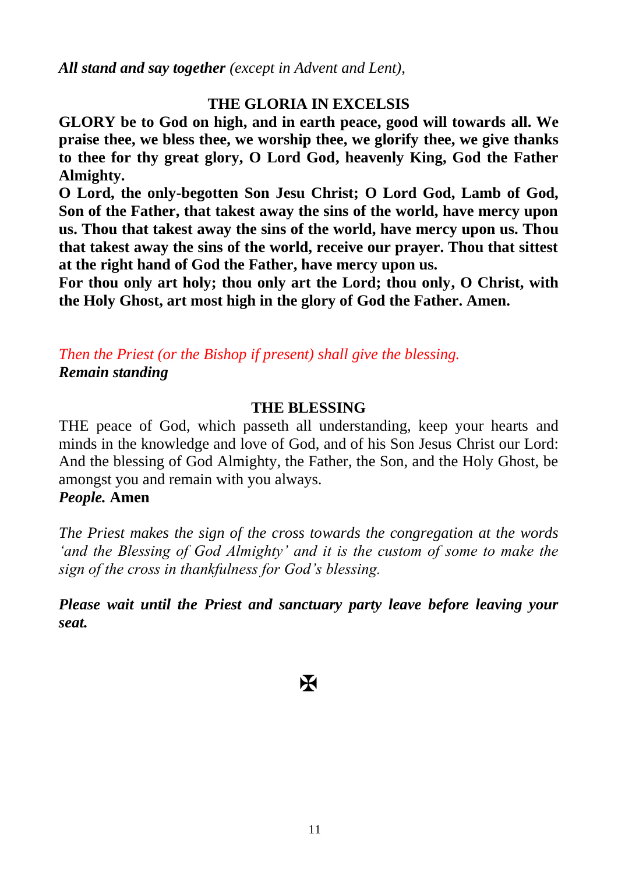*All stand and say together (except in Advent and Lent),*

## **THE GLORIA IN EXCELSIS**

**GLORY be to God on high, and in earth peace, good will towards all. We praise thee, we bless thee, we worship thee, we glorify thee, we give thanks to thee for thy great glory, O Lord God, heavenly King, God the Father Almighty.**

**O Lord, the only-begotten Son Jesu Christ; O Lord God, Lamb of God, Son of the Father, that takest away the sins of the world, have mercy upon us. Thou that takest away the sins of the world, have mercy upon us. Thou that takest away the sins of the world, receive our prayer. Thou that sittest at the right hand of God the Father, have mercy upon us.**

**For thou only art holy; thou only art the Lord; thou only, O Christ, with the Holy Ghost, art most high in the glory of God the Father. Amen.**

*Then the Priest (or the Bishop if present) shall give the blessing. Remain standing*

#### **THE BLESSING**

THE peace of God, which passeth all understanding, keep your hearts and minds in the knowledge and love of God, and of his Son Jesus Christ our Lord: And the blessing of God Almighty, the Father, the Son, and the Holy Ghost, be amongst you and remain with you always.

## *People.* **Amen**

*The Priest makes the sign of the cross towards the congregation at the words 'and the Blessing of God Almighty' and it is the custom of some to make the sign of the cross in thankfulness for God's blessing.*

*Please wait until the Priest and sanctuary party leave before leaving your seat.*

K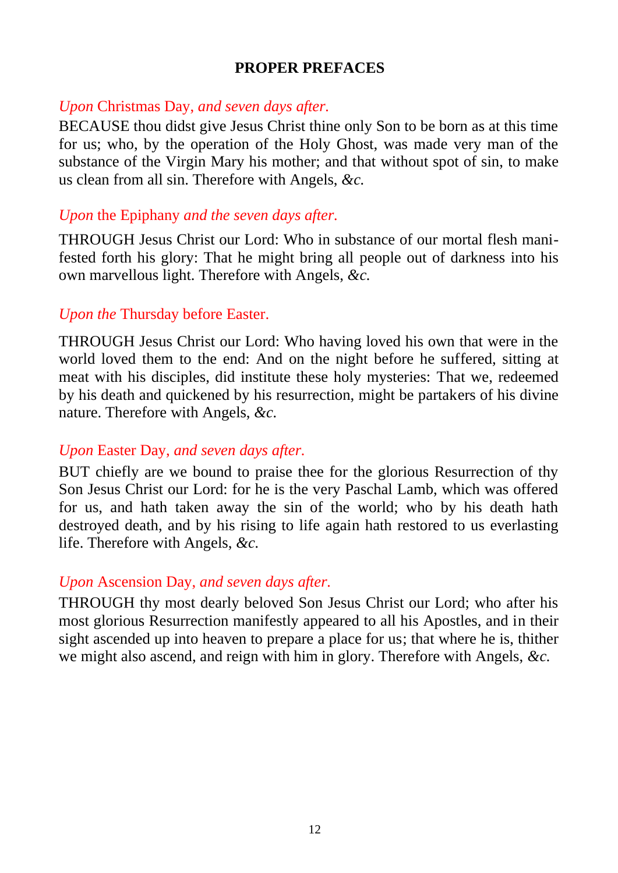## **PROPER PREFACES**

## *Upon* Christmas Day, *and seven days after.*

BECAUSE thou didst give Jesus Christ thine only Son to be born as at this time for us; who, by the operation of the Holy Ghost, was made very man of the substance of the Virgin Mary his mother; and that without spot of sin, to make us clean from all sin. Therefore with Angels, *&c.*

## *Upon* the Epiphany *and the seven days after.*

THROUGH Jesus Christ our Lord: Who in substance of our mortal flesh manifested forth his glory: That he might bring all people out of darkness into his own marvellous light. Therefore with Angels, *&c.*

## *Upon the* Thursday before Easter.

THROUGH Jesus Christ our Lord: Who having loved his own that were in the world loved them to the end: And on the night before he suffered, sitting at meat with his disciples, did institute these holy mysteries: That we, redeemed by his death and quickened by his resurrection, might be partakers of his divine nature. Therefore with Angels, *&c.*

## *Upon* Easter Day, *and seven days after.*

BUT chiefly are we bound to praise thee for the glorious Resurrection of thy Son Jesus Christ our Lord: for he is the very Paschal Lamb, which was offered for us, and hath taken away the sin of the world; who by his death hath destroyed death, and by his rising to life again hath restored to us everlasting life. Therefore with Angels, *&c.*

## *Upon* Ascension Day, *and seven days after.*

THROUGH thy most dearly beloved Son Jesus Christ our Lord; who after his most glorious Resurrection manifestly appeared to all his Apostles, and in their sight ascended up into heaven to prepare a place for us; that where he is, thither we might also ascend, and reign with him in glory. Therefore with Angels, *&c.*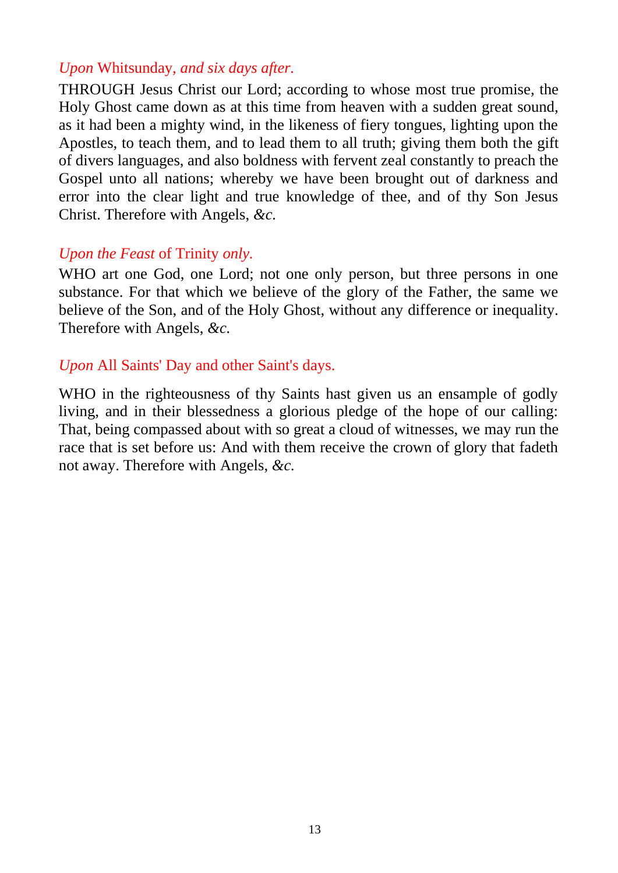## *Upon* Whitsunday, *and six days after.*

THROUGH Jesus Christ our Lord; according to whose most true promise, the Holy Ghost came down as at this time from heaven with a sudden great sound, as it had been a mighty wind, in the likeness of fiery tongues, lighting upon the Apostles, to teach them, and to lead them to all truth; giving them both the gift of divers languages, and also boldness with fervent zeal constantly to preach the Gospel unto all nations; whereby we have been brought out of darkness and error into the clear light and true knowledge of thee, and of thy Son Jesus Christ. Therefore with Angels, *&c.*

#### *Upon the Feast* of Trinity *only.*

WHO art one God, one Lord; not one only person, but three persons in one substance. For that which we believe of the glory of the Father, the same we believe of the Son, and of the Holy Ghost, without any difference or inequality. Therefore with Angels, *&c.*

#### *Upon* All Saints' Day and other Saint's days.

WHO in the righteousness of thy Saints hast given us an ensample of godly living, and in their blessedness a glorious pledge of the hope of our calling: That, being compassed about with so great a cloud of witnesses, we may run the race that is set before us: And with them receive the crown of glory that fadeth not away. Therefore with Angels, *&c.*